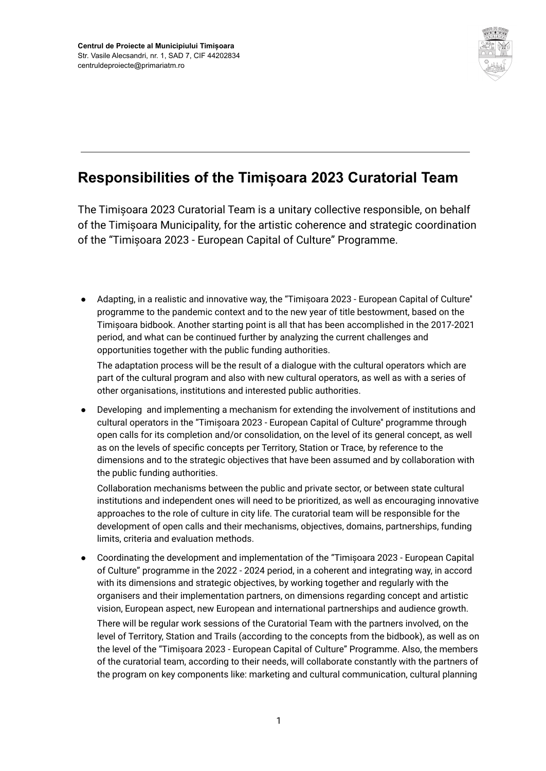

## **Responsibilities of the Timișoara 2023 Curatorial Team**

The Timișoara 2023 Curatorial Team is a unitary collective responsible, on behalf of the Timișoara Municipality, for the artistic coherence and strategic coordination of the "Timișoara 2023 - European Capital of Culture" Programme.

● Adapting, in a realistic and innovative way, the "Timișoara 2023 - European Capital of Culture'' programme to the pandemic context and to the new year of title bestowment, based on the Timișoara bidbook. Another starting point is all that has been accomplished in the 2017-2021 period, and what can be continued further by analyzing the current challenges and opportunities together with the public funding authorities.

The adaptation process will be the result of a dialogue with the cultural operators which are part of the cultural program and also with new cultural operators, as well as with a series of other organisations, institutions and interested public authorities.

Developing and implementing a mechanism for extending the involvement of institutions and cultural operators in the "Timișoara 2023 - European Capital of Culture'' programme through open calls for its completion and/or consolidation, on the level of its general concept, as well as on the levels of specific concepts per Territory, Station or Trace, by reference to the dimensions and to the strategic objectives that have been assumed and by collaboration with the public funding authorities.

Collaboration mechanisms between the public and private sector, or between state cultural institutions and independent ones will need to be prioritized, as well as encouraging innovative approaches to the role of culture in city life. The curatorial team will be responsible for the development of open calls and their mechanisms, objectives, domains, partnerships, funding limits, criteria and evaluation methods.

● Coordinating the development and implementation of the "Timișoara 2023 - European Capital of Culture" programme in the 2022 - 2024 period, in a coherent and integrating way, in accord with its dimensions and strategic objectives, by working together and regularly with the organisers and their implementation partners, on dimensions regarding concept and artistic vision, European aspect, new European and international partnerships and audience growth. There will be regular work sessions of the Curatorial Team with the partners involved, on the level of Territory, Station and Trails (according to the concepts from the bidbook), as well as on the level of the "Timișoara 2023 - European Capital of Culture" Programme. Also, the members of the curatorial team, according to their needs, will collaborate constantly with the partners of the program on key components like: marketing and cultural communication, cultural planning